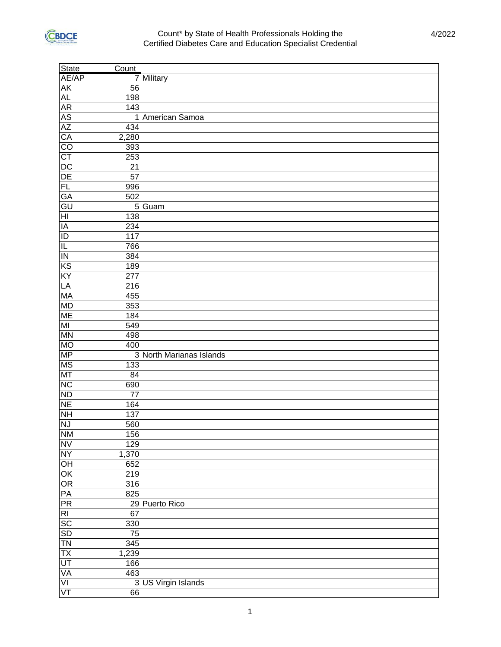

| State                    | Count |                          |
|--------------------------|-------|--------------------------|
| AE/AP                    |       | 7 Military               |
| AK                       | 56    |                          |
| AL                       | 198   |                          |
| AR                       | 143   |                          |
|                          |       | 1 American Samoa         |
|                          | 434   |                          |
| AS<br>AZ<br>CA           | 2,280 |                          |
| $\overline{CO}$          | 393   |                          |
| CT                       | 253   |                          |
| $\frac{1}{DE}$           | 21    |                          |
|                          | 57    |                          |
| FL                       | 996   |                          |
| GA                       | 502   |                          |
| GU                       |       | 5 Guam                   |
| $\overline{H}$           | 138   |                          |
| $\overline{IA}$          | 234   |                          |
| Е                        | 117   |                          |
| $\equiv$                 | 766   |                          |
| $\overline{1}$           | 384   |                          |
| $\overline{KS}$          | 189   |                          |
| KY                       | 277   |                          |
| LA                       | 216   |                          |
| <b>MA</b>                | 455   |                          |
| <b>MD</b>                | 353   |                          |
| $\overline{\text{ME}}$   | 184   |                          |
| $\overline{\mathsf{M}}$  | 549   |                          |
| <b>MN</b>                | 498   |                          |
| <b>OM</b>                | 400   |                          |
| <b>MP</b>                |       | 3 North Marianas Islands |
| $\overline{\text{MS}}$   | 133   |                          |
| MT                       | 84    |                          |
| NC                       | 690   |                          |
| <b>ND</b>                | 77    |                          |
| <b>NE</b>                | 164   |                          |
| HN                       | 137   |                          |
| NJ                       | 560   |                          |
| <b>NN</b>                | 156   |                          |
| <b>NV</b>                | 129   |                          |
| <b>NY</b>                | 1,370 |                          |
| $\overline{OH}$          | 652   |                          |
| $\overline{\mathsf{OK}}$ | 219   |                          |
|                          | 316   |                          |
| $\frac{OR}{PR}$          | 825   |                          |
|                          |       | 29 Puerto Rico           |
| R <sub>1</sub>           | 67    |                          |
| $rac{1}{\text{SD}}$      | 330   |                          |
|                          | 75    |                          |
| TN                       | 345   |                          |
| $rac{TX}{UT}$            | 1,239 |                          |
|                          | 166   |                          |
| <b>VA</b>                | 463   |                          |
| $\overline{V}$           |       | 3 US Virgin Islands      |
| $\overline{\mathsf{VT}}$ | 66    |                          |